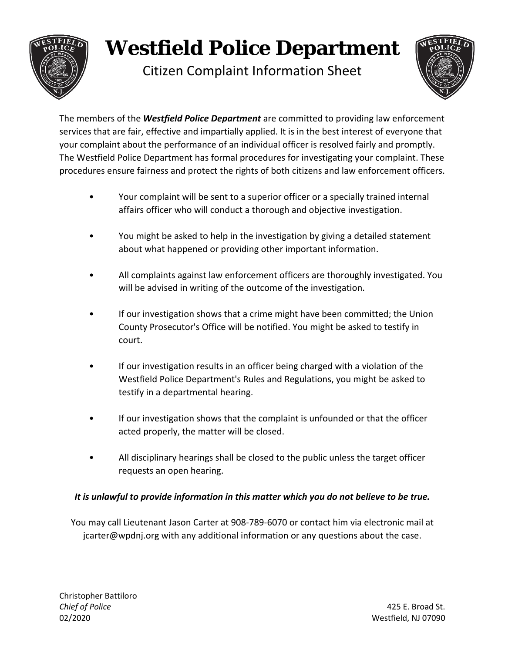

## **Westfield Police Department**

Citizen Complaint Information Sheet



The members of the *Westfield Police Department* are committed to providing law enforcement services that are fair, effective and impartially applied. It is in the best interest of everyone that your complaint about the performance of an individual officer is resolved fairly and promptly. The Westfield Police Department has formal procedures for investigating your complaint. These procedures ensure fairness and protect the rights of both citizens and law enforcement officers.

- Your complaint will be sent to a superior officer or a specially trained internal affairs officer who will conduct a thorough and objective investigation.
- You might be asked to help in the investigation by giving a detailed statement about what happened or providing other important information.
- All complaints against law enforcement officers are thoroughly investigated. You will be advised in writing of the outcome of the investigation.
- If our investigation shows that a crime might have been committed; the Union County Prosecutor's Office will be notified. You might be asked to testify in court.
- If our investigation results in an officer being charged with a violation of the Westfield Police Department's Rules and Regulations, you might be asked to testify in a departmental hearing.
- If our investigation shows that the complaint is unfounded or that the officer acted properly, the matter will be closed.
- All disciplinary hearings shall be closed to the public unless the target officer requests an open hearing.

## *It is unlawful to provide information in this matter which you do not believe to be true.*

You may call Lieutenant Jason Carter at 908‐789‐6070 or contact him via electronic mail at jcarter@wpdnj.org with any additional information or any questions about the case.